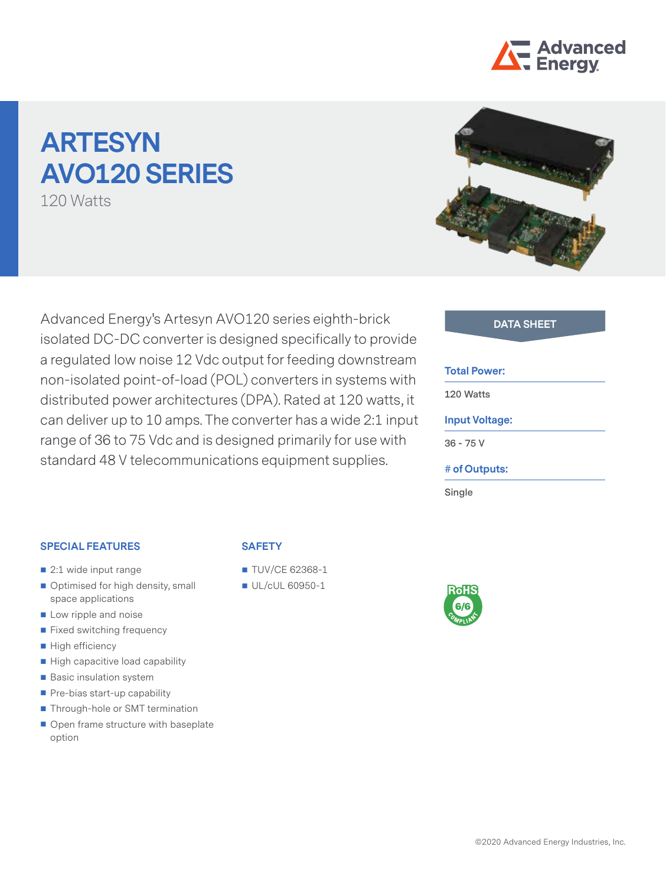

# **ARTESYN AVO120 SERIES**

120 Watts

Advanced Energy's Artesyn AVO120 series eighth-brick **DATA SHEET** isolated DC-DC converter is designed specifically to provide a regulated low noise 12 Vdc output for feeding downstream non-isolated point-of-load (POL) converters in systems with distributed power architectures (DPA). Rated at 120 watts, it can deliver up to 10 amps. The converter has a wide 2:1 input range of 36 to 75 Vdc and is designed primarily for use with standard 48 V telecommunications equipment supplies.



#### **Total Power:**

**120 Watts**

#### **Input Voltage:**

**36 - 75 V**

**# of Outputs:**

**Single**

#### **SPECIAL FEATURES**

- 2:1 wide input range
- Optimised for high density, small space applications
- Low ripple and noise
- Fixed switching frequency
- High efficiency
- High capacitive load capability
- Basic insulation system
- Pre-bias start-up capability
- Through-hole or SMT termination
- Open frame structure with baseplate option

## **SAFETY**

- **TUV/CE 62368-1**
- UL/cUL 60950-1

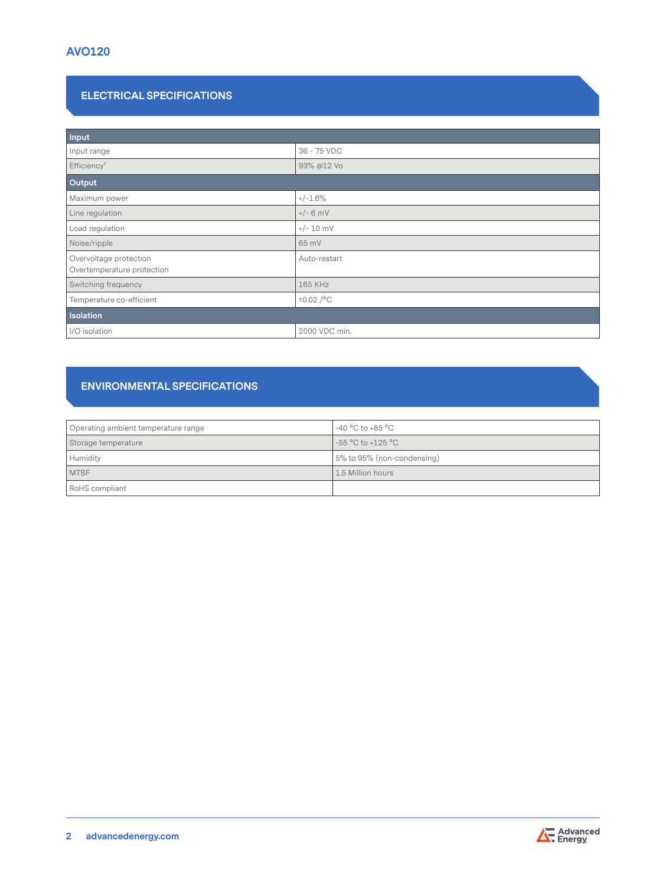# **ELECTRICAL SPECIFICATIONS**

| Input                                                |                |  |
|------------------------------------------------------|----------------|--|
| Input range                                          | 36 - 75 VDC    |  |
| Efficiency <sup>2</sup>                              | 93% @12 Vo     |  |
| Output                                               |                |  |
| Maximum power                                        | $+/-1.6%$      |  |
| Line regulation                                      | $+/- 6$ mV     |  |
| Load regulation                                      | $+/- 10$ mV    |  |
| Noise/ripple                                         | 65 mV          |  |
| Overvoltage protection<br>Overtemperature protection | Auto-restart   |  |
| Switching frequency                                  | 165 KHz        |  |
| Temperature co-efficient                             | $\pm 0.02$ /°C |  |
| Isolation                                            |                |  |
| I/O isolation                                        | 2000 VDC min.  |  |

# **ENVIRONMENTAL SPECIFICATIONS**

| Operating ambient temperature range | -40 $^{\circ}$ C to +85 $^{\circ}$ C |
|-------------------------------------|--------------------------------------|
| Storage temperature                 | $-55^{\circ}$ C to +125 $^{\circ}$ C |
| Humidity                            | 5% to 95% (non-condensing)           |
| <b>MTBF</b>                         | 1.5 Million hours                    |
| RoHS compliant                      |                                      |



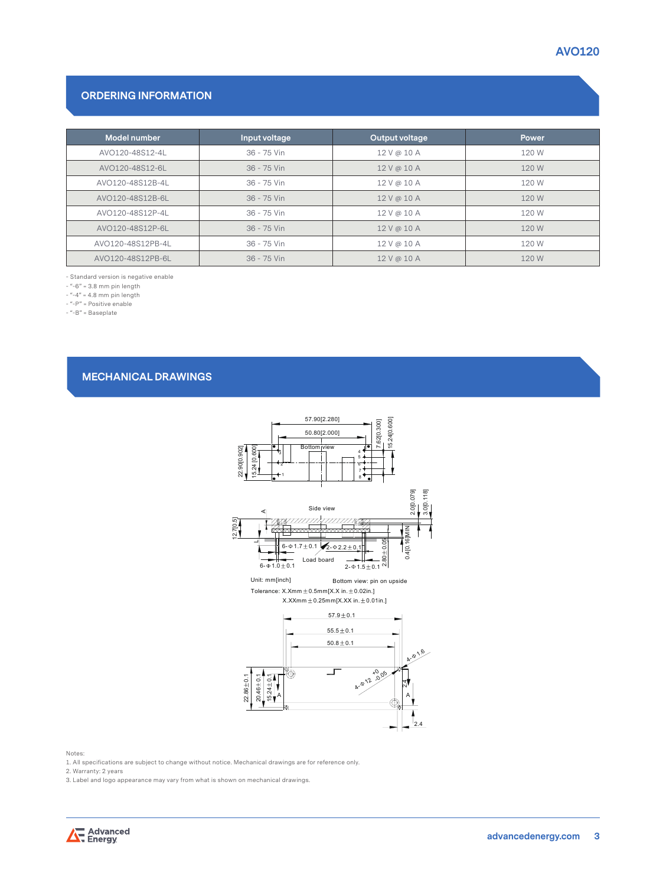### **ORDERING INFORMATION**

| Model number      | Input voltage | Output voltage | Power |
|-------------------|---------------|----------------|-------|
| AVO120-48S12-4L   | 36 - 75 Vin   | 12 V @ 10 A    | 120 W |
| AVO120-48S12-6L   | $36 - 75$ Vin | 12 V @ 10 A    | 120 W |
| AVO120-48S12B-4L  | 36 - 75 Vin   | 12 V @ 10 A    | 120 W |
| AVO120-48S12B-6L  | $36 - 75$ Vin | 12V@10A        | 120 W |
| AVO120-48S12P-4L  | 36 - 75 Vin   | 12 V @ 10 A    | 120 W |
| AVO120-48S12P-6L  | 36 - 75 Vin   | 12 V @ 10 A    | 120 W |
| AVO120-48S12PB-4L | 36 - 75 Vin   | 12 V @ 10 A    | 120 W |
| AVO120-48S12PB-6L | 36 - 75 Vin   | 12 V @ 10 A    | 120 W |

- Standard version is negative enable

 $-$  "-6" = 3.8 mm pin length

 $-$  "-4" = 4.8 mm pin length

- "-P" = Positive enable

- "-B" = Baseplate

#### **MECHANICAL DRAWINGS**



Notes:

1. All specifications are subject to change without notice. Mechanical drawings are for reference only.

2. Warranty: 2 years

3. Label and logo appearance may vary from what is shown on mechanical drawings.

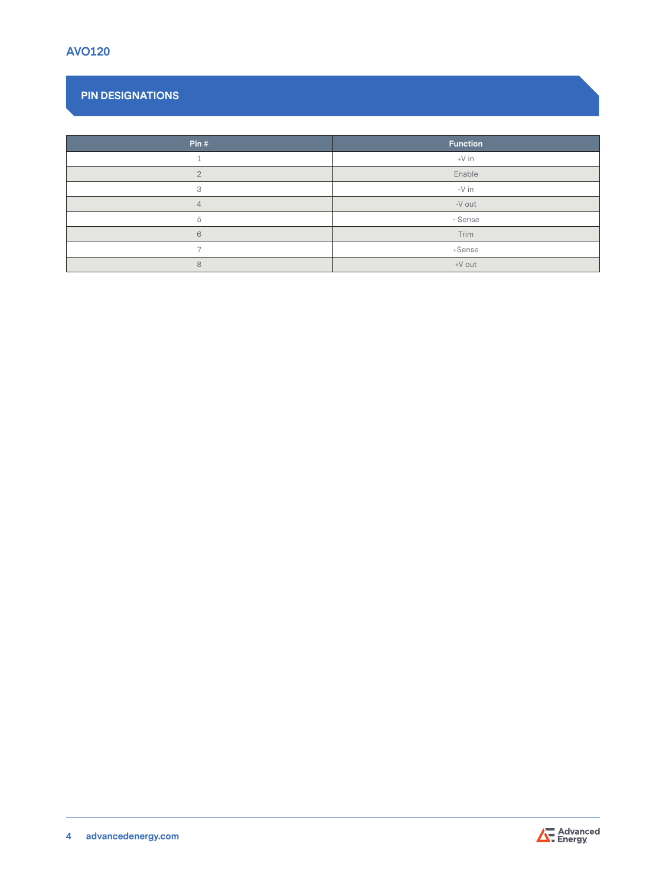# **PIN DESIGNATIONS**

| Pin#           | <b>Function</b> |
|----------------|-----------------|
|                | $+V$ in         |
| $\overline{2}$ | Enable          |
| 3              | -V in           |
| $\overline{4}$ | -V out          |
| 5              | - Sense         |
| 6              | Trim            |
| ⇁              | +Sense          |
| 8              | +V out          |